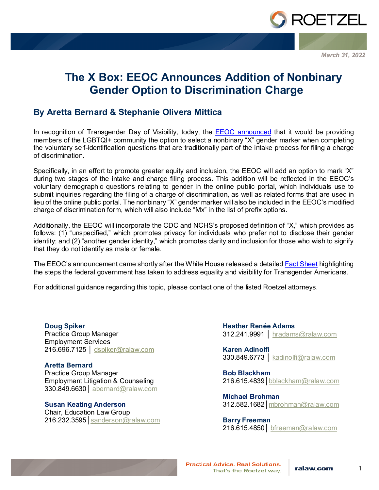

*March 31, 2022*

# **The X Box: EEOC Announces Addition of Nonbinary Gender Option to Discrimination Charge**

# **By Aretta Bernard & Stephanie Olivera Mittica**

In recognition of Transgender Day of Visibility, today, the **EEOC** announced that it would be providing members of the LGBTQI+ community the option to select a nonbinary "X" gender marker when completing the voluntary self-identification questions that are traditionally part of the intake process for filing a charge of discrimination.

Specifically, in an effort to promote greater equity and inclusion, the EEOC will add an option to mark "X" during two stages of the intake and charge filing process. This addition will be reflected in the EEOC's voluntary demographic questions relating to gender in the online public portal, which individuals use to submit inquiries regarding the filing of a charge of discrimination, as well as related forms that are used in lieu of the online public portal. The nonbinary "X" gender marker will also be included in the EEOC's modified charge of discrimination form, which will also include "Mx" in the list of prefix options.

Additionally, the EEOC will incorporate the CDC and NCHS's proposed definition of "X," which provides as follows: (1) "unspecified," which promotes privacy for individuals who prefer not to disclose their gender identity; and (2) "another gender identity," which promotes clarity and inclusion for those who wish to signify that they do not identify as male or female.

The EEOC's announcement came shortly after the White House released a detailed [Fact Sheet](https://www.whitehouse.gov/briefing-room/statements-releases/2022/03/31/fact-sheet-biden-harris-administration-advances-equality-and-visibility-for-transgender-americans/?utm_content=&utm_medium=email&utm_name=&utm_source=govdelivery&utm_term=) highlighting the steps the federal government has taken to address equality and visibility for Transgender Americans.

For additional guidance regarding this topic, please contact one of the listed Roetzel attorneys.

**Doug Spiker** Practice Group Manager Employment Services 216.696.7125 | [dspiker@ralaw.com](mailto:dspiker@ralaw.com)

**Aretta Bernard** Practice Group Manager Employment Litigation & Counseling 330.849.6630│ [abernard@ralaw.com](mailto:abernard@ralaw.com)

**Susan Keating Anderson** Chair, Education Law Group 216.232.3595│[sanderson@ralaw.com](mailto:sanderson@ralaw.com) **Heather Renée Adams** 312.241.9991 │ [hradams@ralaw.com](mailto:hradams@ralaw.com)

**Karen Adinolfi** 330.849.6773 | [kadinolfi@ralaw.com](mailto:kadinolfi@ralaw.com)

**Bob Blackham** 216.615.4839│bblackham@ralaw.com

**Michael Brohman** 312.582.1682│mbrohman@ralaw.com

**Barry Freeman** 216.615.4850│ [bfreeman@ralaw.com](mailto:bfreeman@ralaw.com)